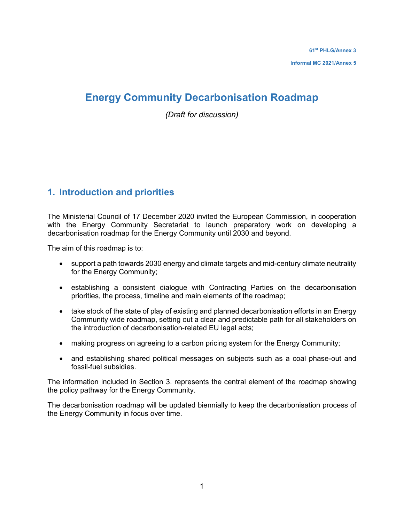## **Energy Community Decarbonisation Roadmap**

*(Draft for discussion)*

## **1. Introduction and priorities**

The Ministerial Council of 17 December 2020 invited the European Commission, in cooperation with the Energy Community Secretariat to launch preparatory work on developing a decarbonisation roadmap for the Energy Community until 2030 and beyond.

The aim of this roadmap is to:

- support a path towards 2030 energy and climate targets and mid-century climate neutrality for the Energy Community;
- establishing a consistent dialogue with Contracting Parties on the decarbonisation priorities, the process, timeline and main elements of the roadmap;
- take stock of the state of play of existing and planned decarbonisation efforts in an Energy Community wide roadmap, setting out a clear and predictable path for all stakeholders on the introduction of decarbonisation-related EU legal acts;
- making progress on agreeing to a carbon pricing system for the Energy Community;
- and establishing shared political messages on subjects such as a coal phase-out and fossil-fuel subsidies.

The information included in Section 3. represents the central element of the roadmap showing the policy pathway for the Energy Community.

The decarbonisation roadmap will be updated biennially to keep the decarbonisation process of the Energy Community in focus over time.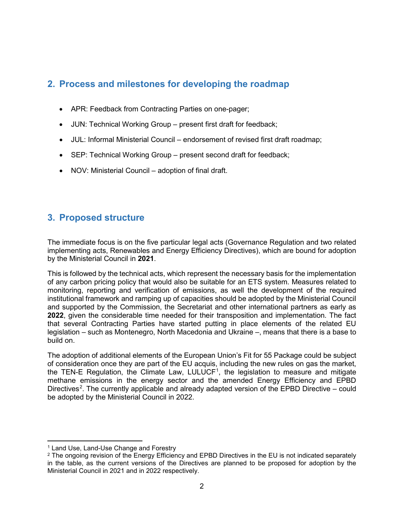## **2. Process and milestones for developing the roadmap**

- APR: Feedback from Contracting Parties on one-pager;
- JUN: Technical Working Group present first draft for feedback;
- JUL: Informal Ministerial Council endorsement of revised first draft roadmap;
- SEP: Technical Working Group present second draft for feedback;
- NOV: Ministerial Council adoption of final draft.

## **3. Proposed structure**

The immediate focus is on the five particular legal acts (Governance Regulation and two related implementing acts, Renewables and Energy Efficiency Directives), which are bound for adoption by the Ministerial Council in **2021**.

This is followed by the technical acts, which represent the necessary basis for the implementation of any carbon pricing policy that would also be suitable for an ETS system. Measures related to monitoring, reporting and verification of emissions, as well the development of the required institutional framework and ramping up of capacities should be adopted by the Ministerial Council and supported by the Commission, the Secretariat and other international partners as early as **2022**, given the considerable time needed for their transposition and implementation. The fact that several Contracting Parties have started putting in place elements of the related EU legislation – such as Montenegro, North Macedonia and Ukraine –, means that there is a base to build on.

The adoption of additional elements of the European Union's Fit for 55 Package could be subject of consideration once they are part of the EU acquis, including the new rules on gas the market, the TEN-E Regulation, the Climate Law, LULUCF<sup>[1](#page-1-0)</sup>, the legislation to measure and mitigate methane emissions in the energy sector and the amended Energy Efficiency and EPBD Directives<sup>[2](#page-1-1)</sup>. The currently applicable and already adapted version of the EPBD Directive – could be adopted by the Ministerial Council in 2022.

<span id="page-1-0"></span> <sup>1</sup> Land Use, Land-Use Change and Forestry

<span id="page-1-1"></span><sup>&</sup>lt;sup>2</sup> The ongoing revision of the Energy Efficiency and EPBD Directives in the EU is not indicated separately in the table, as the current versions of the Directives are planned to be proposed for adoption by the Ministerial Council in 2021 and in 2022 respectively.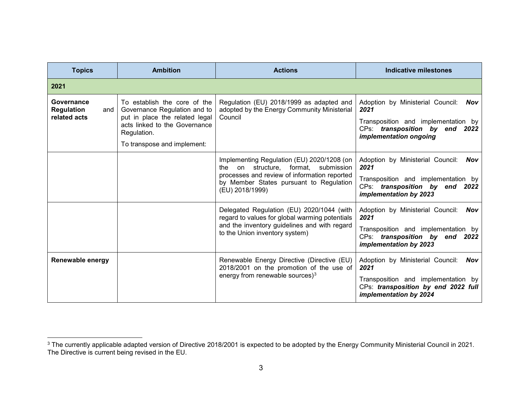<span id="page-2-0"></span>

| <b>Topics</b>                                          | <b>Ambition</b>                                                                                                                                                               | <b>Actions</b>                                                                                                                                                                                         | Indicative milestones                                                                                                                                   |  |  |
|--------------------------------------------------------|-------------------------------------------------------------------------------------------------------------------------------------------------------------------------------|--------------------------------------------------------------------------------------------------------------------------------------------------------------------------------------------------------|---------------------------------------------------------------------------------------------------------------------------------------------------------|--|--|
| 2021                                                   |                                                                                                                                                                               |                                                                                                                                                                                                        |                                                                                                                                                         |  |  |
| Governance<br><b>Regulation</b><br>and<br>related acts | To establish the core of the<br>Governance Regulation and to<br>put in place the related legal<br>acts linked to the Governance<br>Regulation.<br>To transpose and implement: | Regulation (EU) 2018/1999 as adapted and<br>adopted by the Energy Community Ministerial<br>Council                                                                                                     | Adoption by Ministerial Council:<br>Nov<br>2021<br>Transposition and implementation by<br>CPs: transposition by end 2022<br>implementation ongoing      |  |  |
|                                                        |                                                                                                                                                                               | Implementing Regulation (EU) 2020/1208 (on<br>on structure, format,<br>submission<br>the<br>processes and review of information reported<br>by Member States pursuant to Regulation<br>(EU) 2018/1999) | Adoption by Ministerial Council: Nov<br>2021<br>Transposition and implementation by<br>CPs: transposition by end 2022<br>implementation by 2023         |  |  |
|                                                        |                                                                                                                                                                               | Delegated Regulation (EU) 2020/1044 (with<br>regard to values for global warming potentials<br>and the inventory guidelines and with regard<br>to the Union inventory system)                          | Adoption by Ministerial Council:<br>Nov<br>2021<br>Transposition and implementation by<br>CPs: transposition by end 2022<br>implementation by 2023      |  |  |
| Renewable energy                                       |                                                                                                                                                                               | Renewable Energy Directive (Directive (EU)<br>2018/2001 on the promotion of the use of<br>energy from renewable sources) <sup>3</sup>                                                                  | Adoption by Ministerial Council:<br>Nov<br>2021<br>Transposition and implementation by<br>CPs: transposition by end 2022 full<br>implementation by 2024 |  |  |

 <sup>3</sup> The currently applicable adapted version of Directive 2018/2001 is expected to be adopted by the Energy Community Ministerial Council in 2021. The Directive is current being revised in the EU.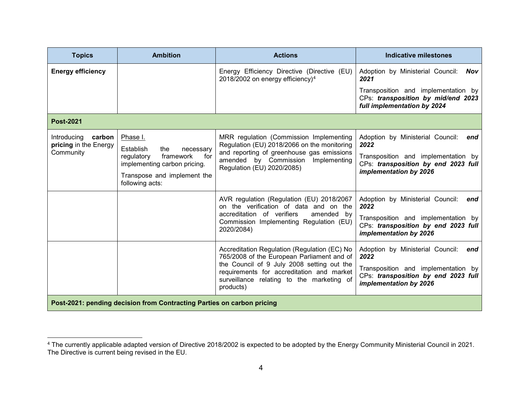<span id="page-3-0"></span>

| <b>Topics</b>                                                          | <b>Ambition</b>                                                | <b>Actions</b>                                                                                                                                    | <b>Indicative milestones</b>                                                                             |  |  |  |  |  |  |
|------------------------------------------------------------------------|----------------------------------------------------------------|---------------------------------------------------------------------------------------------------------------------------------------------------|----------------------------------------------------------------------------------------------------------|--|--|--|--|--|--|
| <b>Energy efficiency</b>                                               |                                                                | Energy Efficiency Directive (Directive (EU)<br>2018/2002 on energy efficiency) <sup>4</sup>                                                       | Adoption by Ministerial Council:<br>Nov<br>2021                                                          |  |  |  |  |  |  |
|                                                                        |                                                                |                                                                                                                                                   | Transposition and implementation by<br>CPs: transposition by mid/end 2023<br>full implementation by 2024 |  |  |  |  |  |  |
| <b>Post-2021</b>                                                       |                                                                |                                                                                                                                                   |                                                                                                          |  |  |  |  |  |  |
| carbon<br>Introducing<br>pricing in the Energy<br>Community            | Phase I.<br>Establish<br>the<br>necessary                      | MRR regulation (Commission Implementing<br>Regulation (EU) 2018/2066 on the monitoring                                                            | Adoption by Ministerial Council:<br>end<br>2022                                                          |  |  |  |  |  |  |
|                                                                        | framework<br>regulatory<br>for<br>implementing carbon pricing. | and reporting of greenhouse gas emissions<br>amended by Commission<br>Implementing<br>Regulation (EU) 2020/2085)                                  | Transposition and implementation by<br>CPs: transposition by end 2023 full<br>implementation by 2026     |  |  |  |  |  |  |
|                                                                        | Transpose and implement the<br>following acts:                 |                                                                                                                                                   |                                                                                                          |  |  |  |  |  |  |
|                                                                        |                                                                | AVR regulation (Regulation (EU) 2018/2067<br>on the verification of data and on the                                                               | Adoption by Ministerial Council:<br>end<br>2022                                                          |  |  |  |  |  |  |
|                                                                        |                                                                | accreditation of verifiers<br>amended by<br>Commission Implementing Regulation (EU)<br>2020/2084)                                                 | Transposition and implementation by<br>CPs: transposition by end 2023 full<br>implementation by 2026     |  |  |  |  |  |  |
|                                                                        |                                                                | Accreditation Regulation (Regulation (EC) No<br>765/2008 of the European Parliament and of                                                        | Adoption by Ministerial Council:<br>end<br>2022                                                          |  |  |  |  |  |  |
|                                                                        |                                                                | the Council of 9 July 2008 setting out the<br>requirements for accreditation and market<br>surveillance relating to the marketing of<br>products) | Transposition and implementation by<br>CPs: transposition by end 2023 full<br>implementation by 2026     |  |  |  |  |  |  |
| Post-2021: pending decision from Contracting Parties on carbon pricing |                                                                |                                                                                                                                                   |                                                                                                          |  |  |  |  |  |  |

<sup>————————————————————&</sup>lt;br><sup>4</sup> The currently applicable adapted version of Directive 2018/2002 is expected to be adopted by the Energy Community Ministerial Council in 2021. The Directive is current being revised in the EU.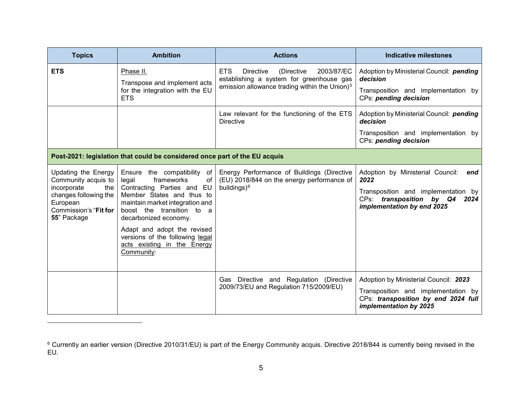<span id="page-4-1"></span><span id="page-4-0"></span>

| <b>Topics</b>                                                                                                                                 | <b>Ambition</b>                                                                                                                                                                                                                                                                                                                | <b>Actions</b>                                                                                                                                                      | <b>Indicative milestones</b>                                                                                                                             |
|-----------------------------------------------------------------------------------------------------------------------------------------------|--------------------------------------------------------------------------------------------------------------------------------------------------------------------------------------------------------------------------------------------------------------------------------------------------------------------------------|---------------------------------------------------------------------------------------------------------------------------------------------------------------------|----------------------------------------------------------------------------------------------------------------------------------------------------------|
| <b>ETS</b>                                                                                                                                    | Phase II.<br>Transpose and implement acts<br>for the integration with the EU<br><b>ETS</b>                                                                                                                                                                                                                                     | <b>ETS</b><br><b>Directive</b><br>(Directive<br>2003/87/EC<br>establishing a system for greenhouse gas<br>emission allowance trading within the Union) <sup>5</sup> | Adoption by Ministerial Council: pending<br>decision<br>Transposition and implementation by<br>CPs: pending decision                                     |
|                                                                                                                                               |                                                                                                                                                                                                                                                                                                                                | Law relevant for the functioning of the ETS<br><b>Directive</b>                                                                                                     | Adoption by Ministerial Council: pending<br>decision                                                                                                     |
|                                                                                                                                               |                                                                                                                                                                                                                                                                                                                                |                                                                                                                                                                     | Transposition and implementation by<br>CPs: pending decision                                                                                             |
|                                                                                                                                               | Post-2021: legislation that could be considered once part of the EU acquis                                                                                                                                                                                                                                                     |                                                                                                                                                                     |                                                                                                                                                          |
| Updating the Energy<br>Community acquis to<br>incorporate<br>the<br>changes following the<br>European<br>Commission's "Fit for<br>55" Package | Ensure the compatibility of<br>frameworks<br>of<br>legal<br>Contracting Parties and<br>EU<br>Member States and thus to<br>maintain market integration and<br>boost the transition to a<br>decarbonized economy.<br>Adapt and adopt the revised<br>versions of the following legal<br>acts existing in the Energy<br>Community: | Energy Performance of Buildings (Directive<br>(EU) 2018/844 on the energy performance of<br>buildings) <sup>6</sup>                                                 | Adoption by Ministerial Council:<br>end<br>2022<br>Transposition and implementation by<br>CPs: transposition by Q4<br>2024<br>implementation by end 2025 |
|                                                                                                                                               |                                                                                                                                                                                                                                                                                                                                | Gas Directive and Regulation (Directive<br>2009/73/EU and Regulation 715/2009/EU)                                                                                   | Adoption by Ministerial Council: 2023<br>Transposition and implementation by<br>CPs: transposition by end 2024 full<br>implementation by 2025            |

 $\overline{a}$ 

 $^{\rm 6}$  Currently an earlier version (Directive 2010/31/EU) is part of the Energy Community acquis. Directive 2018/844 is currently being revised in the EU.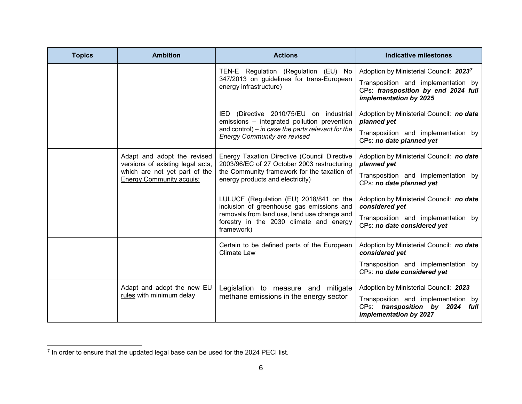<span id="page-5-0"></span>

| <b>Topics</b> | <b>Ambition</b>                                                                                                                     | <b>Actions</b>                                                                                                                                                                               | <b>Indicative milestones</b>                                                                                                                               |  |  |  |
|---------------|-------------------------------------------------------------------------------------------------------------------------------------|----------------------------------------------------------------------------------------------------------------------------------------------------------------------------------------------|------------------------------------------------------------------------------------------------------------------------------------------------------------|--|--|--|
|               |                                                                                                                                     | TEN-E Regulation (Regulation (EU) No<br>347/2013 on guidelines for trans-European<br>energy infrastructure)                                                                                  | Adoption by Ministerial Council: 2023 <sup>7</sup><br>Transposition and implementation by<br>CPs: transposition by end 2024 full<br>implementation by 2025 |  |  |  |
|               |                                                                                                                                     | (Directive 2010/75/EU on industrial<br>IED.<br>emissions - integrated pollution prevention<br>and control) $-$ in case the parts relevant for the<br><b>Energy Community are revised</b>     | Adoption by Ministerial Council: no date<br>planned yet<br>Transposition and implementation by<br>CPs: no date planned yet                                 |  |  |  |
|               | Adapt and adopt the revised<br>versions of existing legal acts,<br>which are not yet part of the<br><b>Energy Community acquis:</b> | Energy Taxation Directive (Council Directive<br>2003/96/EC of 27 October 2003 restructuring<br>the Community framework for the taxation of<br>energy products and electricity)               | Adoption by Ministerial Council: no date<br>planned yet<br>Transposition and implementation by<br>CPs: no date planned yet                                 |  |  |  |
|               |                                                                                                                                     | LULUCF (Regulation (EU) 2018/841 on the<br>inclusion of greenhouse gas emissions and<br>removals from land use, land use change and<br>forestry in the 2030 climate and energy<br>framework) | Adoption by Ministerial Council: no date<br>considered yet<br>Transposition and implementation by<br>CPs: no date considered yet                           |  |  |  |
|               |                                                                                                                                     | Certain to be defined parts of the European<br><b>Climate Law</b>                                                                                                                            | Adoption by Ministerial Council: no date<br>considered yet<br>Transposition and implementation by<br>CPs: no date considered yet                           |  |  |  |
|               | Adapt and adopt the new EU<br>rules with minimum delay                                                                              | Legislation to measure and mitigate<br>methane emissions in the energy sector                                                                                                                | Adoption by Ministerial Council: 2023<br>Transposition and implementation by<br>CPs: transposition by 2024 full<br>implementation by 2027                  |  |  |  |

 $7$  In order to ensure that the updated legal base can be used for the 2024 PECI list.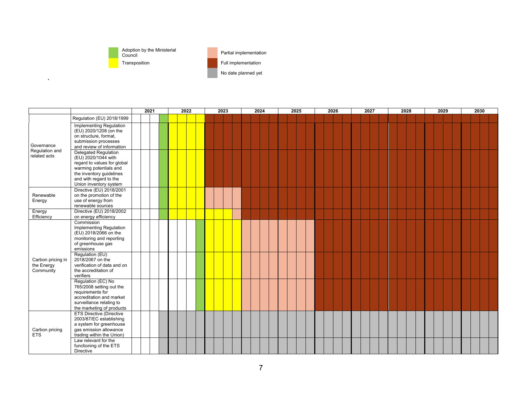

 $\bar{\mathbf{v}}$ 

Adoption by the Ministerial Council Partial implementation

No date planned yet

|                                              |                                                                                                                                                                                       | 2021 | 2022 | 2023 | 2024 | 2025 | 2026 | 2027 | 2028 | 2029 | 2030 |
|----------------------------------------------|---------------------------------------------------------------------------------------------------------------------------------------------------------------------------------------|------|------|------|------|------|------|------|------|------|------|
|                                              | Regulation (EU) 2018/1999                                                                                                                                                             |      |      |      |      |      |      |      |      |      |      |
| Governance<br>Regulation and<br>related acts | Implementing Regulation<br>(EU) 2020/1208 (on the<br>on structure, format,<br>submission processes<br>and review of information<br><b>Delegated Regulation</b><br>(EU) 2020/1044 with |      |      |      |      |      |      |      |      |      |      |
|                                              | regard to values for global<br>warming potentials and<br>the inventory guidelines<br>and with regard to the<br>Union inventory system                                                 |      |      |      |      |      |      |      |      |      |      |
| Renewable<br>Energy                          | Directive (EU) 2018/2001<br>on the promotion of the<br>use of energy from<br>renewable sources                                                                                        |      |      |      |      |      |      |      |      |      |      |
| Energy<br>Efficiency                         | Directive (EU) 2018/2002<br>on energy efficiency                                                                                                                                      |      |      |      |      |      |      |      |      |      |      |
| Carbon pricing in<br>the Energy<br>Community | Commission<br>Implementing Regulation<br>(EU) 2018/2066 on the<br>monitoring and reporting<br>of greenhouse gas<br>emissions                                                          |      |      |      |      |      |      |      |      |      |      |
|                                              | Regulation (EU)<br>2018/2067 on the<br>verification of data and on<br>the accreditation of<br>verifiers                                                                               |      |      |      |      |      |      |      |      |      |      |
|                                              | Regulation (EC) No<br>765/2008 setting out the<br>requirements for<br>accreditation and market<br>surveillance relating to<br>the marketing of products                               |      |      |      |      |      |      |      |      |      |      |
| Carbon pricing<br><b>ETS</b>                 | <b>ETS Directive (Directive</b><br>2003/87/EC establishing<br>a system for greenhouse<br>gas emission allowance<br>trading within the Union)                                          |      |      |      |      |      |      |      |      |      |      |
|                                              | Law relevant for the<br>functioning of the ETS<br>Directive                                                                                                                           |      |      |      |      |      |      |      |      |      |      |